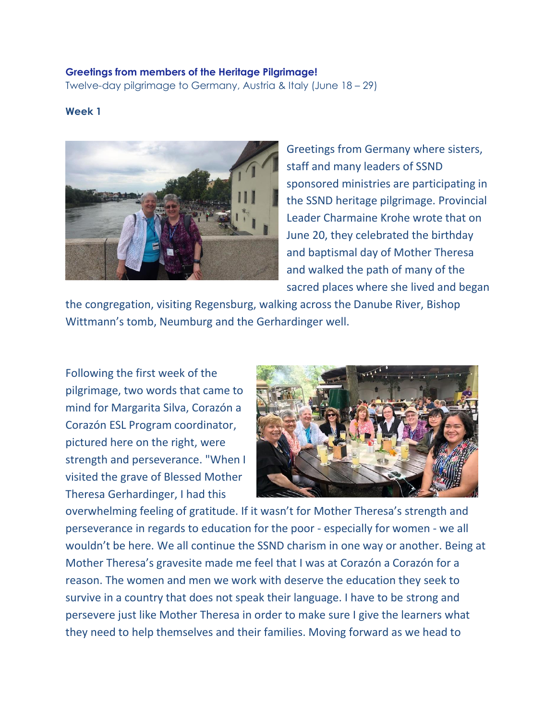## **Greetings from members of the Heritage Pilgrimage!**

Twelve-day pilgrimage to Germany, Austria & Italy (June 18 – 29)

## **Week 1**



Greetings from Germany where sisters, staff and many leaders of SSND sponsored ministries are participating in the SSND heritage pilgrimage. Provincial Leader Charmaine Krohe wrote that on June 20, they celebrated the birthday and baptismal day of Mother Theresa and walked the path of many of the sacred places where she lived and began

the congregation, visiting Regensburg, walking across the Danube River, Bishop Wittmann's tomb, Neumburg and the Gerhardinger well.

Following the first week of the pilgrimage, two words that came to mind for Margarita Silva, Corazón a Corazón ESL Program coordinator, pictured here on the right, were strength and perseverance. "When I visited the grave of Blessed Mother Theresa Gerhardinger, I had this



overwhelming feeling of gratitude. If it wasn't for Mother Theresa's strength and perseverance in regards to education for the poor - especially for women - we all wouldn't be here. We all continue the SSND charism in one way or another. Being at Mother Theresa's gravesite made me feel that I was at Corazón a Corazón for a reason. The women and men we work with deserve the education they seek to survive in a country that does not speak their language. I have to be strong and persevere just like Mother Theresa in order to make sure I give the learners what they need to help themselves and their families. Moving forward as we head to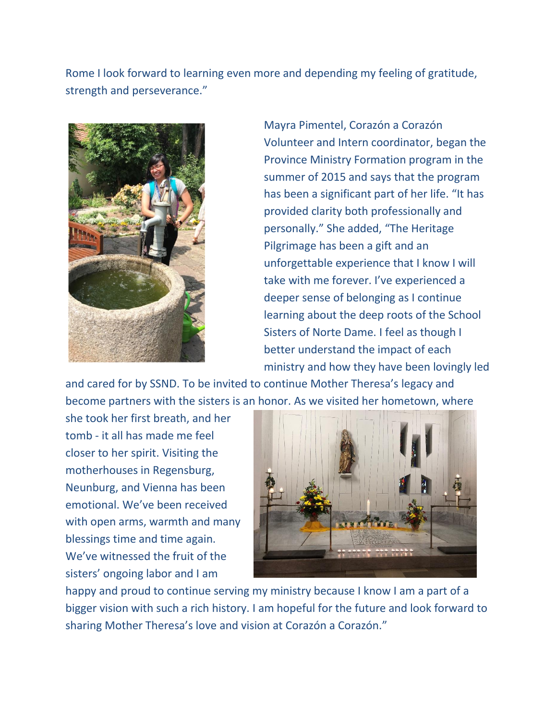Rome I look forward to learning even more and depending my feeling of gratitude, strength and perseverance."



Mayra Pimentel, Corazón a Corazón Volunteer and Intern coordinator, began the Province Ministry Formation program in the summer of 2015 and says that the program has been a significant part of her life. "It has provided clarity both professionally and personally." She added, "The Heritage Pilgrimage has been a gift and an unforgettable experience that I know I will take with me forever. I've experienced a deeper sense of belonging as I continue learning about the deep roots of the School Sisters of Norte Dame. I feel as though I better understand the impact of each ministry and how they have been lovingly led

and cared for by SSND. To be invited to continue Mother Theresa's legacy and become partners with the sisters is an honor. As we visited her hometown, where

she took her first breath, and her tomb - it all has made me feel closer to her spirit. Visiting the motherhouses in Regensburg, Neunburg, and Vienna has been emotional. We've been received with open arms, warmth and many blessings time and time again. We've witnessed the fruit of the sisters' ongoing labor and I am



happy and proud to continue serving my ministry because I know I am a part of a bigger vision with such a rich history. I am hopeful for the future and look forward to sharing Mother Theresa's love and vision at Corazón a Corazón."